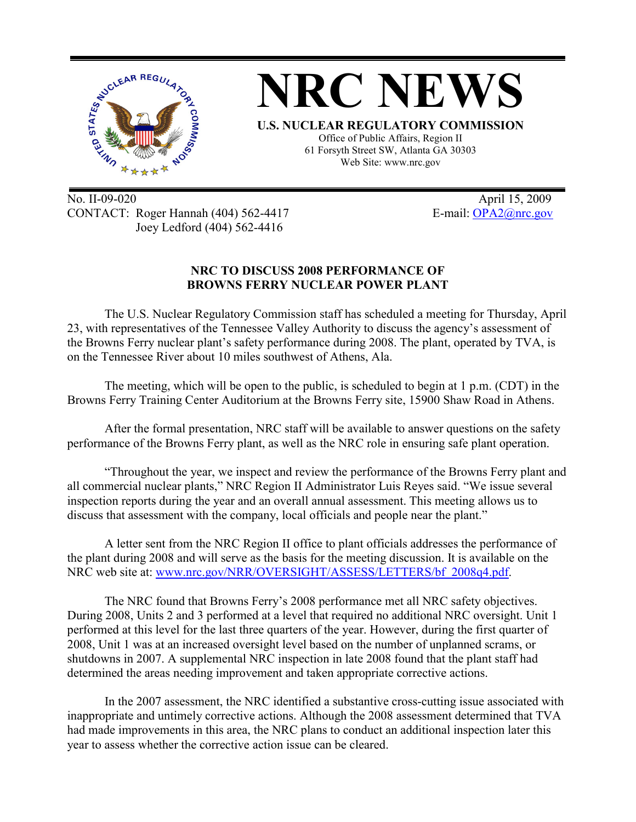

No. II-09-020 April 15, 2009 CONTACT: Roger Hannah (404) 562-4417 E-mail: OPA2@nrc.gov Joey Ledford (404) 562-4416

## **NRC TO DISCUSS 2008 PERFORMANCE OF BROWNS FERRY NUCLEAR POWER PLANT**

The U.S. Nuclear Regulatory Commission staff has scheduled a meeting for Thursday, April 23, with representatives of the Tennessee Valley Authority to discuss the agency's assessment of the Browns Ferry nuclear plant's safety performance during 2008. The plant, operated by TVA, is on the Tennessee River about 10 miles southwest of Athens, Ala.

The meeting, which will be open to the public, is scheduled to begin at 1 p.m. (CDT) in the Browns Ferry Training Center Auditorium at the Browns Ferry site, 15900 Shaw Road in Athens.

After the formal presentation, NRC staff will be available to answer questions on the safety performance of the Browns Ferry plant, as well as the NRC role in ensuring safe plant operation.

"Throughout the year, we inspect and review the performance of the Browns Ferry plant and all commercial nuclear plants," NRC Region II Administrator Luis Reyes said. "We issue several inspection reports during the year and an overall annual assessment. This meeting allows us to discuss that assessment with the company, local officials and people near the plant."

A letter sent from the NRC Region II office to plant officials addresses the performance of the plant during 2008 and will serve as the basis for the meeting discussion. It is available on the NRC web site at: www.nrc.gov/NRR/OVERSIGHT/ASSESS/LETTERS/bf\_2008q4.pdf.

The NRC found that Browns Ferry's 2008 performance met all NRC safety objectives. During 2008, Units 2 and 3 performed at a level that required no additional NRC oversight. Unit 1 performed at this level for the last three quarters of the year. However, during the first quarter of 2008, Unit 1 was at an increased oversight level based on the number of unplanned scrams, or shutdowns in 2007. A supplemental NRC inspection in late 2008 found that the plant staff had determined the areas needing improvement and taken appropriate corrective actions.

In the 2007 assessment, the NRC identified a substantive cross-cutting issue associated with inappropriate and untimely corrective actions. Although the 2008 assessment determined that TVA had made improvements in this area, the NRC plans to conduct an additional inspection later this year to assess whether the corrective action issue can be cleared.